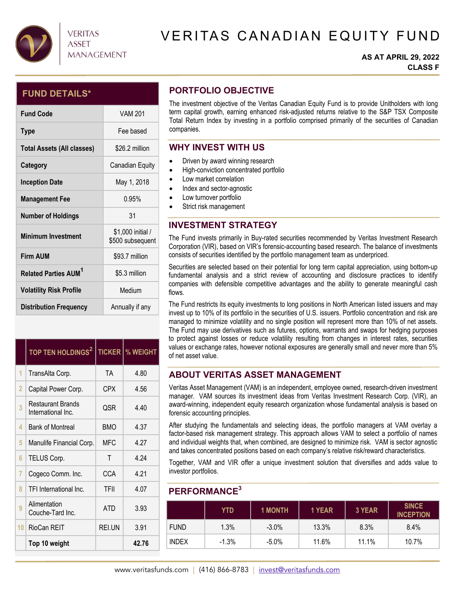

# VERITAS CANADIAN EQUITY FUND

#### **AS AT APRIL 29, 2022 CLASS F**

## **FUND DETAILS\***

| <b>Fund Code</b>                        | <b>VAM 201</b>                        |
|-----------------------------------------|---------------------------------------|
| <b>Type</b>                             | Fee based                             |
| <b>Total Assets (All classes)</b>       | \$26.2 million                        |
| Category                                | Canadian Equity                       |
| <b>Inception Date</b>                   | May 1, 2018                           |
| <b>Management Fee</b>                   | 0.95%                                 |
| <b>Number of Holdings</b>               | 31                                    |
| <b>Minimum Investment</b>               | \$1,000 initial /<br>\$500 subsequent |
| <b>Firm AUM</b>                         | \$93.7 million                        |
| <b>Related Parties AUM</b> <sup>1</sup> | \$5.3 million                         |
| <b>Volatility Risk Profile</b>          | Medium                                |
| <b>Distribution Frequency</b>           | Annually if any                       |

|    | TOP TEN HOLDINGS <sup>2</sup>                  |            | <b>TICKER   % WEIGHT</b> |
|----|------------------------------------------------|------------|--------------------------|
| 1  | TransAlta Corp.                                | TA         | 4.80                     |
| 2  | Capital Power Corp.                            | <b>CPX</b> | 4.56                     |
| 3  | <b>Restaurant Brands</b><br>International Inc. | QSR        | 4.40                     |
| 4  | <b>Bank of Montreal</b>                        | <b>BMO</b> | 4.37                     |
| 5  | Manulife Financial Corp.                       | MFC        | 4.27                     |
| 6  | TELUS Corp.                                    | Т          | 4.24                     |
| 7  | Cogeco Comm. Inc.                              | CCA        | 4.21                     |
| 8  | TFI International Inc.                         | TFII       | 4.07                     |
| 9  | Alimentation<br>Couche-Tard Inc.               | <b>ATD</b> | 3.93                     |
| 10 | RioCan REIT                                    | REI.UN     | 3.91                     |
|    | Top 10 weight                                  |            | 42.76                    |

## **PORTFOLIO OBJECTIVE**

The investment objective of the Veritas Canadian Equity Fund is to provide Unitholders with long term capital growth, earning enhanced risk-adjusted returns relative to the S&P TSX Composite Total Return Index by investing in a portfolio comprised primarily of the securities of Canadian companies.

## **WHY INVEST WITH US**

- Driven by award winning research
- $\bullet$  High-conviction concentrated portfolio
- Low market correlation
- Index and sector-agnostic
- Low turnover portfolio
- Strict risk management

## **INVESTMENT STRATEGY**

The Fund invests primarily in Buy-rated securities recommended by Veritas Investment Research Corporation (VIR), based on VIR's forensic-accounting based research. The balance of investments consists of securities identified by the portfolio management team as underpriced.

Securities are selected based on their potential for long term capital appreciation, using bottom-up fundamental analysis and a strict review of accounting and disclosure practices to identify companies with defensible competitive advantages and the ability to generate meaningful cash flows.

The Fund restricts its equity investments to long positions in North American listed issuers and may invest up to 10% of its portfolio in the securities of U.S. issuers. Portfolio concentration and risk are managed to minimize volatility and no single position will represent more than 10% of net assets. The Fund may use derivatives such as futures, options, warrants and swaps for hedging purposes to protect against losses or reduce volatility resulting from changes in interest rates, securities values or exchange rates, however notional exposures are generally small and never more than 5% of net asset value.

## **ABOUT VERITAS ASSET MANAGEMENT**

Veritas Asset Management (VAM) is an independent, employee owned, research-driven investment manager. VAM sources its investment ideas from Veritas Investment Research Corp. (VIR), an award-winning, independent equity research organization whose fundamental analysis is based on forensic accounting principles.

After studying the fundamentals and selecting ideas, the portfolio managers at VAM overlay a factor-based risk management strategy. This approach allows VAM to select a portfolio of names and individual weights that, when combined, are designed to minimize risk. VAM is sector agnostic and takes concentrated positions based on each company's relative risk/reward characteristics.

Together, VAM and VIR offer a unique investment solution that diversifies and adds value to investor portfolios.

### **PERFORMANCE3**

|              | YTD     | <b>1 MONTH</b> | 1 YEAR | 3 YEAR | <b>SINCE</b><br><b>INCEPTION</b> |
|--------------|---------|----------------|--------|--------|----------------------------------|
| <b>FUND</b>  | 1.3%    | $-3.0\%$       | 13.3%  | 8.3%   | $8.4\%$                          |
| <b>INDEX</b> | $-1.3%$ | $-5.0%$        | 11.6%  | 11.1%  | 10.7%                            |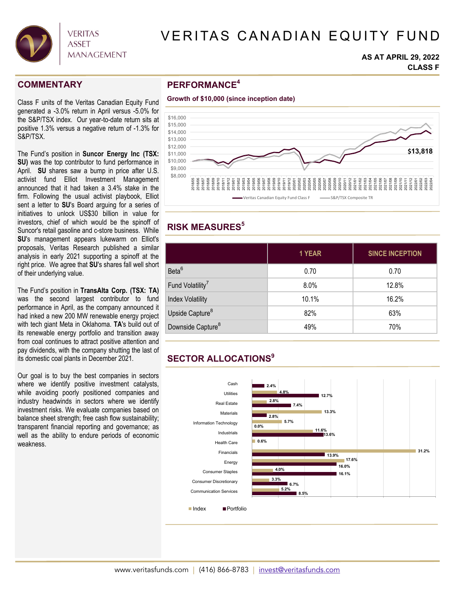

# VERITAS CANADIAN EQUITY FUND

#### **AS AT APRIL 29, 2022 CLASS F**

### **COMMENTARY**

Class F units of the Veritas Canadian Equity Fund generated a -3.0% return in April versus -5.0% for the S&P/TSX index. Our year-to-date return sits at positive 1.3% versus a negative return of -1.3% for S&P/TSX.

The Fund's position in **Suncor Energy Inc (TSX: SU)** was the top contributor to fund performance in April. **SU** shares saw a bump in price after U.S. activist fund Elliot Investment Management announced that it had taken a 3.4% stake in the firm. Following the usual activist playbook, Elliot sent a letter to **SU**'s Board arguing for a series of initiatives to unlock US\$30 billion in value for investors, chief of which would be the spinoff of Suncor's retail gasoline and c-store business. While **SU**'s management appears lukewarm on Elliot's proposals, Veritas Research published a similar analysis in early 2021 supporting a spinoff at the right price. We agree that **SU**'s shares fall well short of their underlying value.

The Fund's position in **TransAlta Corp. (TSX: TA)** was the second largest contributor to fund performance in April, as the company announced it had inked a new 200 MW renewable energy project with tech giant Meta in Oklahoma. **TA**'s build out of its renewable energy portfolio and transition away from coal continues to attract positive attention and pay dividends, with the company shutting the last of its domestic coal plants in December 2021.

Our goal is to buy the best companies in sectors where we identify positive investment catalysts, while avoiding poorly positioned companies and industry headwinds in sectors where we identify investment risks. We evaluate companies based on balance sheet strength; free cash flow sustainability; transparent financial reporting and governance; as well as the ability to endure periods of economic weakness.

## **PERFORMANCE4**





## **RISK MEASURES5**

|                               | 1 YEAR  | <b>SINCE INCEPTION</b> |  |  |
|-------------------------------|---------|------------------------|--|--|
| Beta <sup>6</sup>             | 0.70    | 0.70                   |  |  |
| Fund Volatility <sup>7</sup>  | $8.0\%$ | 12.8%                  |  |  |
| <b>Index Volatility</b>       | 10.1%   | 16.2%                  |  |  |
| Upside Capture <sup>8</sup>   | 82%     | 63%                    |  |  |
| Downside Capture <sup>8</sup> | 49%     | 70%                    |  |  |
|                               |         |                        |  |  |

# **SECTOR ALLOCATIONS9**